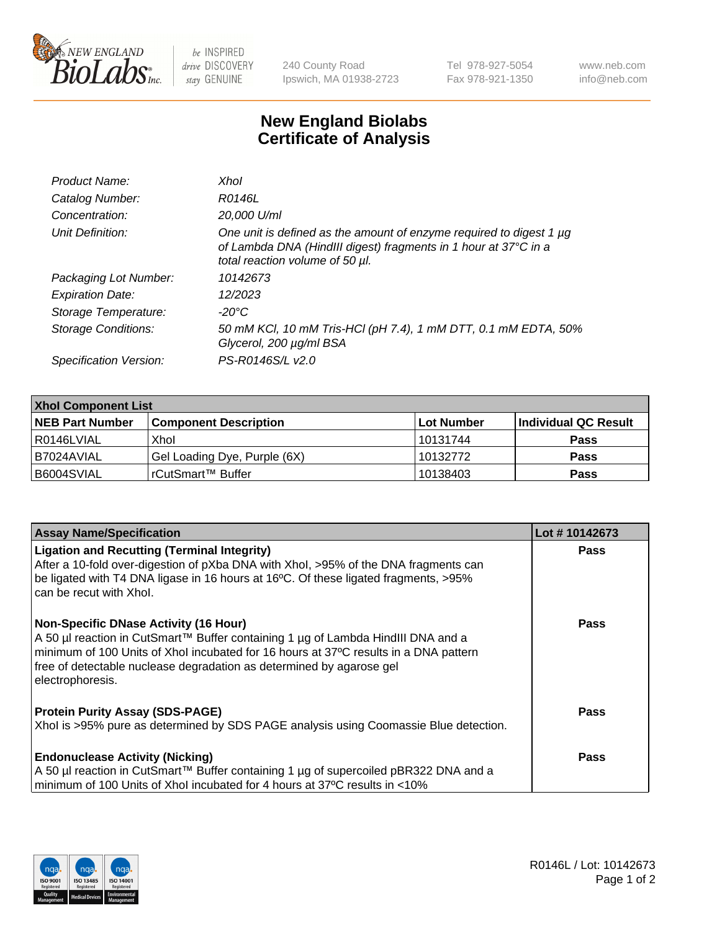

 $be$  INSPIRED drive DISCOVERY stay GENUINE

240 County Road Ipswich, MA 01938-2723 Tel 978-927-5054 Fax 978-921-1350 www.neb.com info@neb.com

## **New England Biolabs Certificate of Analysis**

| Product Name:           | Xhol                                                                                                                                                                      |
|-------------------------|---------------------------------------------------------------------------------------------------------------------------------------------------------------------------|
| Catalog Number:         | R0146L                                                                                                                                                                    |
| Concentration:          | 20,000 U/ml                                                                                                                                                               |
| Unit Definition:        | One unit is defined as the amount of enzyme required to digest 1 µg<br>of Lambda DNA (HindIII digest) fragments in 1 hour at 37°C in a<br>total reaction volume of 50 µl. |
| Packaging Lot Number:   | 10142673                                                                                                                                                                  |
| <b>Expiration Date:</b> | 12/2023                                                                                                                                                                   |
| Storage Temperature:    | -20°C                                                                                                                                                                     |
| Storage Conditions:     | 50 mM KCl, 10 mM Tris-HCl (pH 7.4), 1 mM DTT, 0.1 mM EDTA, 50%<br>Glycerol, 200 µg/ml BSA                                                                                 |
| Specification Version:  | PS-R0146S/L v2.0                                                                                                                                                          |

| <b>Xhol Component List</b> |                              |             |                      |  |  |
|----------------------------|------------------------------|-------------|----------------------|--|--|
| <b>NEB Part Number</b>     | <b>Component Description</b> | ∣Lot Number | Individual QC Result |  |  |
| R0146LVIAL                 | Xhol                         | 10131744    | <b>Pass</b>          |  |  |
| IB7024AVIAL                | Gel Loading Dye, Purple (6X) | 10132772    | <b>Pass</b>          |  |  |
| B6004SVIAL                 | rCutSmart™ Buffer            | 10138403    | <b>Pass</b>          |  |  |

| <b>Assay Name/Specification</b>                                                                                                                                                                                                                                                                                      | Lot #10142673 |
|----------------------------------------------------------------------------------------------------------------------------------------------------------------------------------------------------------------------------------------------------------------------------------------------------------------------|---------------|
| <b>Ligation and Recutting (Terminal Integrity)</b><br>After a 10-fold over-digestion of pXba DNA with Xhol, >95% of the DNA fragments can                                                                                                                                                                            | <b>Pass</b>   |
| be ligated with T4 DNA ligase in 16 hours at 16°C. Of these ligated fragments, >95%<br>can be recut with Xhol.                                                                                                                                                                                                       |               |
| <b>Non-Specific DNase Activity (16 Hour)</b><br>A 50 µl reaction in CutSmart™ Buffer containing 1 µg of Lambda HindIII DNA and a<br>minimum of 100 Units of Xhol incubated for 16 hours at 37°C results in a DNA pattern<br>free of detectable nuclease degradation as determined by agarose gel<br>electrophoresis. | <b>Pass</b>   |
| <b>Protein Purity Assay (SDS-PAGE)</b>                                                                                                                                                                                                                                                                               | <b>Pass</b>   |
| Xhol is >95% pure as determined by SDS PAGE analysis using Coomassie Blue detection.                                                                                                                                                                                                                                 |               |
| <b>Endonuclease Activity (Nicking)</b>                                                                                                                                                                                                                                                                               | Pass          |
| A 50 µl reaction in CutSmart™ Buffer containing 1 µg of supercoiled pBR322 DNA and a<br>minimum of 100 Units of Xhol incubated for 4 hours at 37°C results in <10%                                                                                                                                                   |               |
|                                                                                                                                                                                                                                                                                                                      |               |